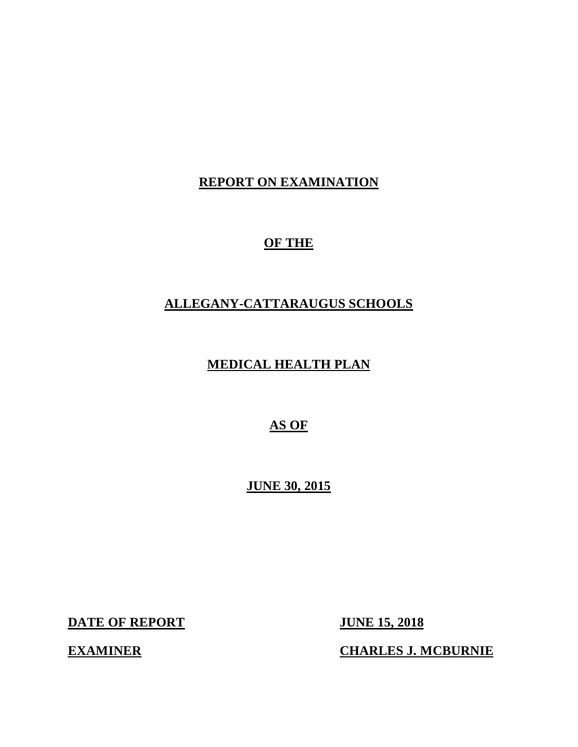### **REPORT ON EXAMINATION**

### **OF THE**

### **ALLEGANY-CATTARAUGUS SCHOOLS**

### **MEDICAL HEALTH PLAN**

### **AS OF**

 **JUNE 30, 2015** 

**DATE OF REPORT JUNE 15, 2018** 

**EXAMINER** 

**CHARLES J. MCBURNIE**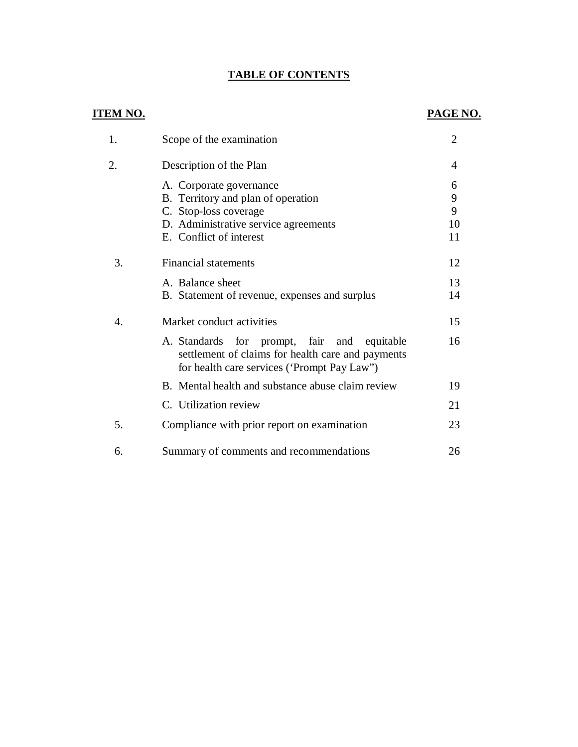### **TABLE OF CONTENTS**

### **ITEM NO.**

### **PAGE NO.**

| 1. | Scope of the examination                                                                                                                         | $\overline{2}$    |
|----|--------------------------------------------------------------------------------------------------------------------------------------------------|-------------------|
| 2. | Description of the Plan                                                                                                                          | 4                 |
|    | A. Corporate governance<br>B. Territory and plan of operation<br>C. Stop-loss coverage<br>D. Administrative service agreements                   | 6<br>9<br>9<br>10 |
|    | E. Conflict of interest                                                                                                                          | 11                |
| 3. | <b>Financial statements</b>                                                                                                                      | 12                |
|    | A. Balance sheet<br>B. Statement of revenue, expenses and surplus                                                                                | 13<br>14          |
| 4. | Market conduct activities                                                                                                                        | 15                |
|    | A. Standards for prompt, fair and equitable<br>settlement of claims for health care and payments<br>for health care services ('Prompt Pay Law'') | 16                |
|    | B. Mental health and substance abuse claim review                                                                                                | 19                |
|    | C. Utilization review                                                                                                                            | 21                |
| 5. | Compliance with prior report on examination                                                                                                      | 23                |
| 6. | Summary of comments and recommendations                                                                                                          | 26                |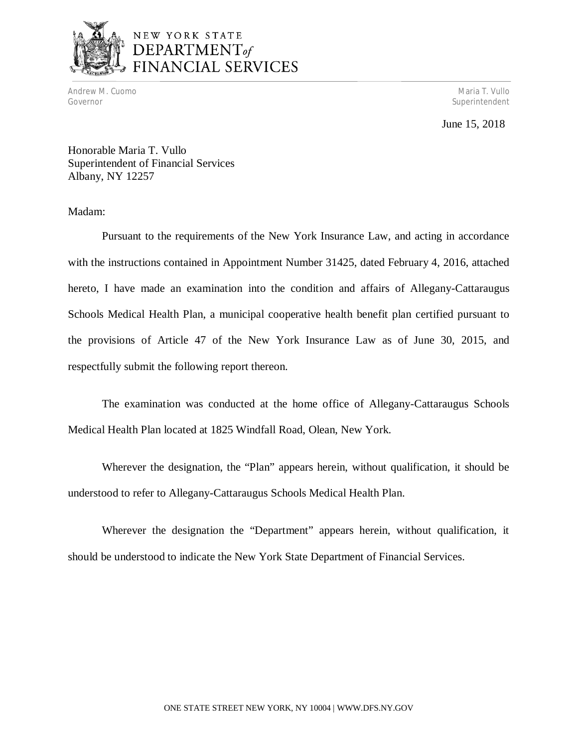

# NEW YORK STATE DEPARTMENT<sub>of</sub><br>FINANCIAL SERVICES

 Andrew M. Cuomo Governor

Maria T. Vullo Superintendent

### June 15, 2018

 Honorable Maria T. Vullo Superintendent of Financial Services Albany, NY 12257

Madam:

 Pursuant to the requirements of the New York Insurance Law, and acting in accordance with the instructions contained in Appointment Number 31425, dated February 4, 2016, attached hereto, I have made an examination into the condition and affairs of Allegany-Cattaraugus Schools Medical Health Plan, a municipal cooperative health benefit plan certified pursuant to the provisions of Article 47 of the New York Insurance Law as of June 30, 2015, and respectfully submit the following report thereon.

 The examination was conducted at the home office of Allegany-Cattaraugus Schools Medical Health Plan located at 1825 Windfall Road, Olean, New York.

 Wherever the designation, the "Plan" appears herein, without qualification, it should be understood to refer to Allegany-Cattaraugus Schools Medical Health Plan.

 Wherever the designation the "Department" appears herein, without qualification, it should be understood to indicate the New York State Department of Financial Services.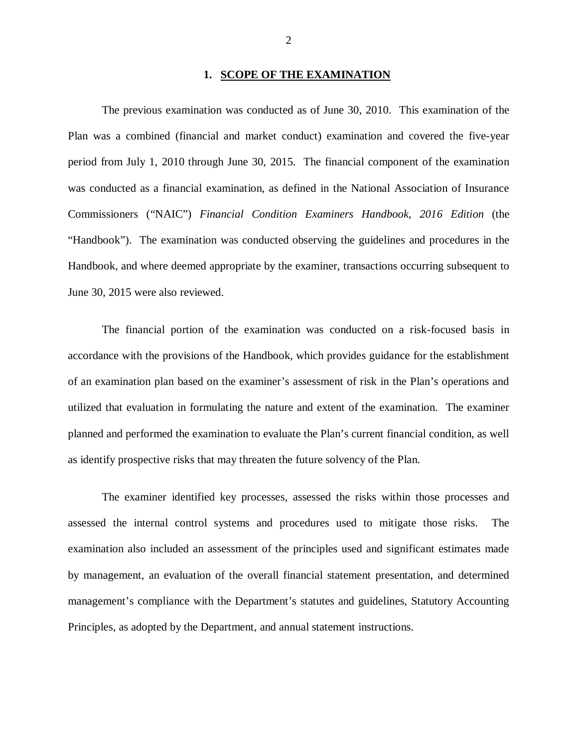### **1. SCOPE OF THE EXAMINATION**

 The previous examination was conducted as of June 30, 2010. This examination of the Plan was a combined (financial and market conduct) examination and covered the five-year period from July 1, 2010 through June 30, 2015. The financial component of the examination was conducted as a financial examination, as defined in the National Association of Insurance Commissioners ("NAIC") *Financial Condition Examiners Handbook, 2016 Edition* (the "Handbook"). The examination was conducted observing the guidelines and procedures in the Handbook, and where deemed appropriate by the examiner, transactions occurring subsequent to June 30, 2015 were also reviewed.

 The financial portion of the examination was conducted on a risk-focused basis in accordance with the provisions of the Handbook, which provides guidance for the establishment of an examination plan based on the examiner's assessment of risk in the Plan's operations and utilized that evaluation in formulating the nature and extent of the examination. The examiner planned and performed the examination to evaluate the Plan's current financial condition, as well as identify prospective risks that may threaten the future solvency of the Plan.

 The examiner identified key processes, assessed the risks within those processes and assessed the internal control systems and procedures used to mitigate those risks. The examination also included an assessment of the principles used and significant estimates made by management, an evaluation of the overall financial statement presentation, and determined management's compliance with the Department's statutes and guidelines, Statutory Accounting Principles, as adopted by the Department, and annual statement instructions.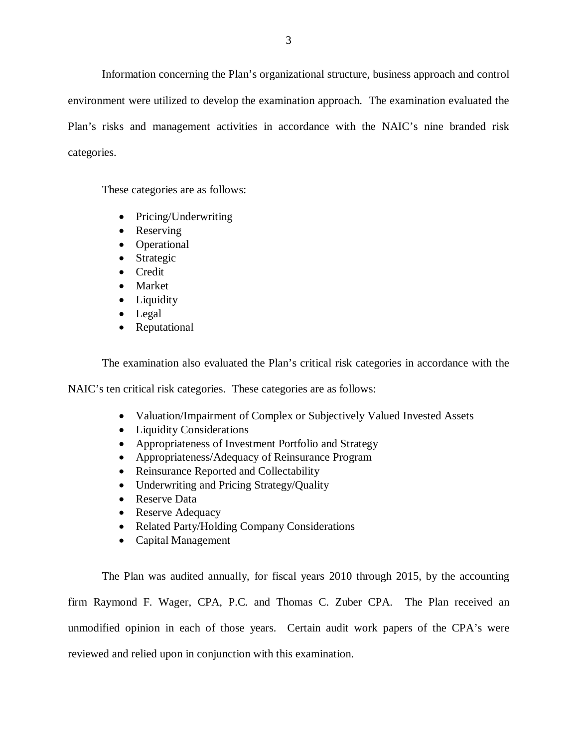Information concerning the Plan's organizational structure, business approach and control environment were utilized to develop the examination approach. The examination evaluated the Plan's risks and management activities in accordance with the NAIC's nine branded risk categories.

These categories are as follows:

- Pricing/Underwriting
- Reserving
- Operational
- Strategic
- Credit
- Market
- Liquidity
- Legal
- Reputational

The examination also evaluated the Plan's critical risk categories in accordance with the

NAIC's ten critical risk categories. These categories are as follows:

- Valuation/Impairment of Complex or Subjectively Valued Invested Assets
- Liquidity Considerations
- Appropriateness of Investment Portfolio and Strategy
- Appropriateness/Adequacy of Reinsurance Program
- Reinsurance Reported and Collectability
- Underwriting and Pricing Strategy/Quality
- Reserve Data
- Reserve Adequacy
- Related Party/Holding Company Considerations
- Capital Management

 The Plan was audited annually, for fiscal years 2010 through 2015, by the accounting firm Raymond F. Wager, CPA, P.C. and Thomas C. Zuber CPA. The Plan received an unmodified opinion in each of those years. Certain audit work papers of the CPA's were reviewed and relied upon in conjunction with this examination.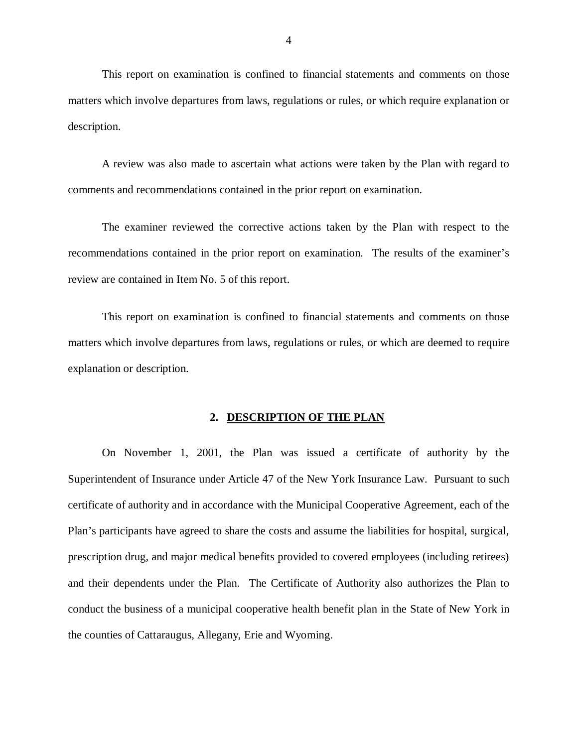This report on examination is confined to financial statements and comments on those matters which involve departures from laws, regulations or rules, or which require explanation or description.

 A review was also made to ascertain what actions were taken by the Plan with regard to comments and recommendations contained in the prior report on examination.

 The examiner reviewed the corrective actions taken by the Plan with respect to the recommendations contained in the prior report on examination. The results of the examiner's review are contained in Item No. 5 of this report.

 This report on examination is confined to financial statements and comments on those matters which involve departures from laws, regulations or rules, or which are deemed to require explanation or description.

### **2. DESCRIPTION OF THE PLAN**

 On November 1, 2001, the Plan was issued a certificate of authority by the Superintendent of Insurance under Article 47 of the New York Insurance Law. Pursuant to such certificate of authority and in accordance with the Municipal Cooperative Agreement, each of the Plan's participants have agreed to share the costs and assume the liabilities for hospital, surgical, prescription drug, and major medical benefits provided to covered employees (including retirees) and their dependents under the Plan. The Certificate of Authority also authorizes the Plan to conduct the business of a municipal cooperative health benefit plan in the State of New York in the counties of Cattaraugus, Allegany, Erie and Wyoming.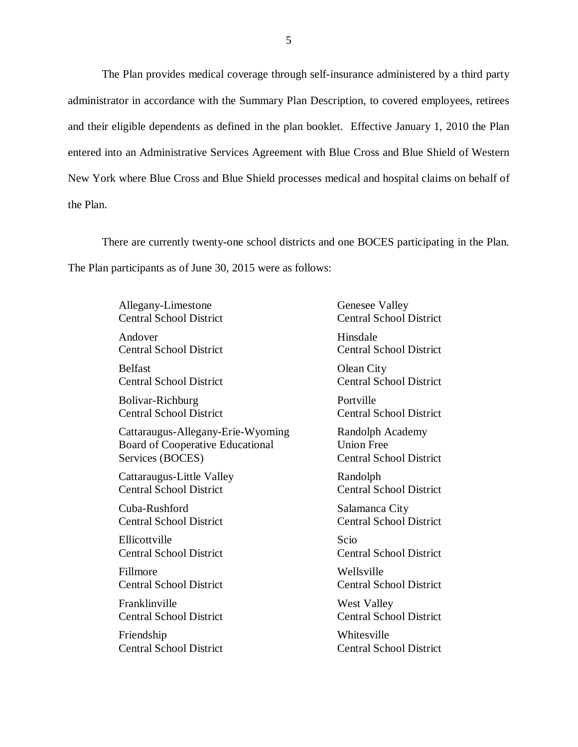The Plan provides medical coverage through self-insurance administered by a third party administrator in accordance with the Summary Plan Description, to covered employees, retirees and their eligible dependents as defined in the plan booklet. Effective January 1, 2010 the Plan entered into an Administrative Services Agreement with Blue Cross and Blue Shield of Western New York where Blue Cross and Blue Shield processes medical and hospital claims on behalf of the Plan.

 There are currently twenty-one school districts and one BOCES participating in the Plan. The Plan participants as of June 30, 2015 were as follows:

> **Central School District** Allegany-Limestone

**Central School District** Andover Hinsdale

**Central School District** Belfast **Olean City** 

**Central School District** Bolivar-Richburg Portville

Board of Cooperative Educational Union Free Services (BOCES) Services (BOCES) Central School District Cattaraugus-Allegany-Erie-Wyoming

Cattaraugus-Little Valley **Randolph Central School District** 

Cuba-Rushford Salamanca City

Ellicottville Scio

**Central School District** Fillmore Wellsville

**Central School District** Franklinville West Valley

**Central School District** Friendship Whitesville

Genesee Valley Central School District Central School District Central School District Central School District Randolph Academy **Union Free**  Central School District Central School District **Central School District**  Central School District Central School District Central School District Central School District Central School District Central School District Central School District Central School District Central School District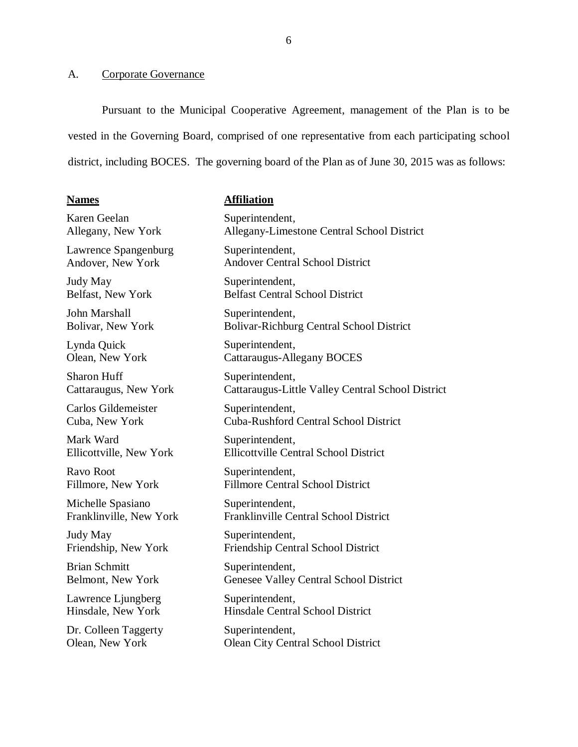### <span id="page-7-0"></span>A. Corporate Governance

 Pursuant to the Municipal Cooperative Agreement, management of the Plan is to be vested in the Governing Board, comprised of one representative from each participating school district, including BOCES. The governing board of the Plan as of June 30, 2015 was as follows:

#### **Names**

#### **Affiliation**

 Karen Geelan Allegany, New York

Lawrence Spangenburg Andover, New York

 Judy May Belfast, New York

 John Marshall Bolivar, New York

 Lynda Quick Olean, New York

 Sharon Huff Cattaraugus, New York

Carlos Gildemeister Cuba, New York

Mark Ward Ellicottville, New York

 Ravo Root Fillmore, New York

 Michelle Spasiano Franklinville, New York

 Judy May Friendship, New York

 Brian Schmitt Belmont, New York

 Lawrence Ljungberg Hinsdale, New York

 Dr. Colleen Taggerty Olean, New York

 Allegany-Limestone Central School District Andover Central School District Bolivar-Richburg Central School District Cattaraugus-Little Valley Central School District Cuba-Rushford Central School District Ellicottville Central School District Fillmore Central School District Friendship Central School District Genesee Valley Central School District Superintendent, Superintendent, Superintendent, Belfast Central School District Superintendent, Superintendent, Cattaraugus-Allegany BOCES Superintendent, Superintendent, Superintendent, Superintendent, Superintendent, Franklinville Central School District Superintendent, Superintendent,

 Hinsdale Central School District Superintendent,

 Olean City Central School District Superintendent,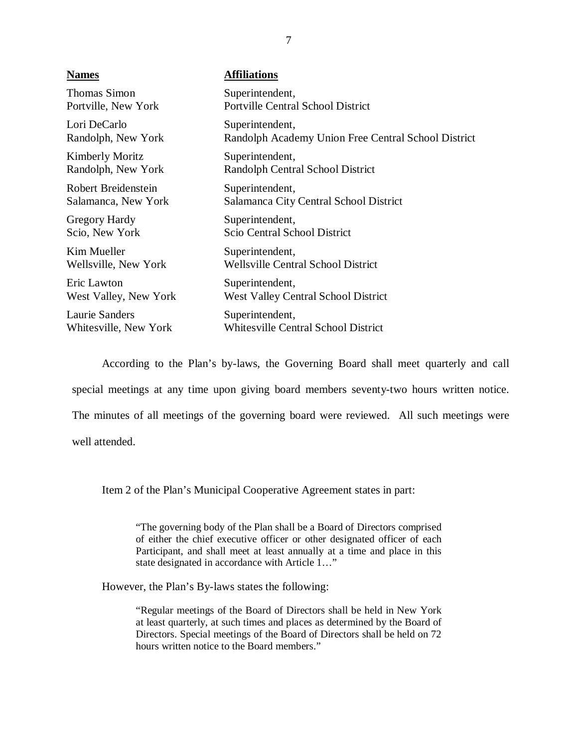| <b>Names</b>          | <b>Affiliations</b>                                 |
|-----------------------|-----------------------------------------------------|
| <b>Thomas Simon</b>   | Superintendent,                                     |
| Portville, New York   | <b>Portville Central School District</b>            |
| Lori DeCarlo          | Superintendent,                                     |
| Randolph, New York    | Randolph Academy Union Free Central School District |
| Kimberly Moritz       | Superintendent,                                     |
| Randolph, New York    | Randolph Central School District                    |
| Robert Breidenstein   | Superintendent,                                     |
| Salamanca, New York   | Salamanca City Central School District              |
| <b>Gregory Hardy</b>  | Superintendent,                                     |
| Scio, New York        | Scio Central School District                        |
| Kim Mueller           | Superintendent,                                     |
| Wellsville, New York  | <b>Wellsville Central School District</b>           |
| Eric Lawton           | Superintendent,                                     |
| West Valley, New York | <b>West Valley Central School District</b>          |
| Laurie Sanders        | Superintendent,                                     |
| Whitesville, New York | <b>Whitesville Central School District</b>          |

 According to the Plan's by-laws, the Governing Board shall meet quarterly and call special meetings at any time upon giving board members seventy-two hours written notice. The minutes of all meetings of the governing board were reviewed. All such meetings were well attended.

Item 2 of the Plan's Municipal Cooperative Agreement states in part:

 "The governing body of the Plan shall be a Board of Directors comprised of either the chief executive officer or other designated officer of each Participant, and shall meet at least annually at a time and place in this state designated in accordance with Article 1…"

However, the Plan's By-laws states the following:

 "Regular meetings of the Board of Directors shall be held in New York at least quarterly, at such times and places as determined by the Board of Directors. Special meetings of the Board of Directors shall be held on 72 hours written notice to the Board members."

7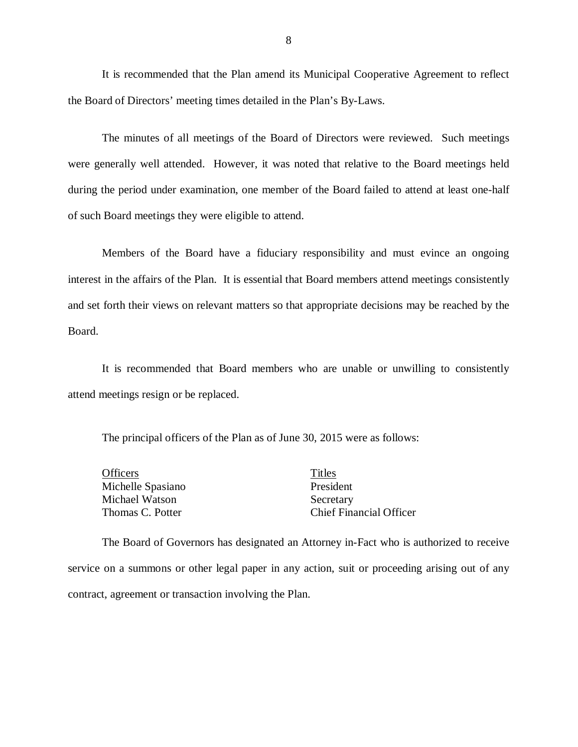It is recommended that the Plan amend its Municipal Cooperative Agreement to reflect the Board of Directors' meeting times detailed in the Plan's By-Laws.

 were generally well attended. However, it was noted that relative to the Board meetings held during the period under examination, one member of the Board failed to attend at least one-half of such Board meetings they were eligible to attend. The minutes of all meetings of the Board of Directors were reviewed. Such meetings

 Members of the Board have a fiduciary responsibility and must evince an ongoing interest in the affairs of the Plan. It is essential that Board members attend meetings consistently and set forth their views on relevant matters so that appropriate decisions may be reached by the Board.

 It is recommended that Board members who are unable or unwilling to consistently attend meetings resign or be replaced.

The principal officers of the Plan as of June 30, 2015 were as follows:

Michelle Spasiano **President** Michael Watson Secretary Thomas C. Potter Officers Titles

**Chief Financial Officer** 

 The Board of Governors has designated an Attorney in-Fact who is authorized to receive service on a summons or other legal paper in any action, suit or proceeding arising out of any contract, agreement or transaction involving the Plan.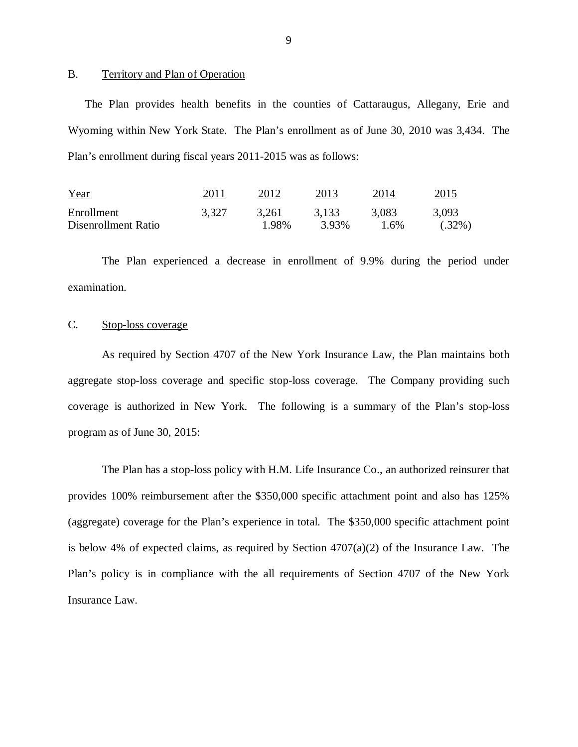### B. Territory and Plan of Operation

 The Plan provides health benefits in the counties of Cattaraugus, Allegany, Erie and Wyoming within New York State. The Plan's enrollment as of June 30, 2010 was 3,434. The Plan's enrollment during fiscal years 2011-2015 was as follows:

| Year                | 2011  | 2012  | 2013  | 2014  | 2015      |
|---------------------|-------|-------|-------|-------|-----------|
| Enrollment          | 3,327 | 3.261 | 3,133 | 3,083 | 3,093     |
| Disenrollment Ratio |       | 1.98% | 3.93% | 1.6%  | $(.32\%)$ |

 The Plan experienced a decrease in enrollment of 9.9% during the period under examination. examination.<br>C. Stop-loss coverage

 As required by Section 4707 of the New York Insurance Law, the Plan maintains both aggregate stop-loss coverage and specific stop-loss coverage. The Company providing such coverage is authorized in New York. The following is a summary of the Plan's stop-loss program as of June 30, 2015:

 The Plan has a stop-loss policy with H.M. Life Insurance Co., an authorized reinsurer that provides 100% reimbursement after the \$350,000 specific attachment point and also has 125% (aggregate) coverage for the Plan's experience in total. The \$350,000 specific attachment point is below 4% of expected claims, as required by Section 4707(a)(2) of the Insurance Law. The Plan's policy is in compliance with the all requirements of Section 4707 of the New York Insurance Law.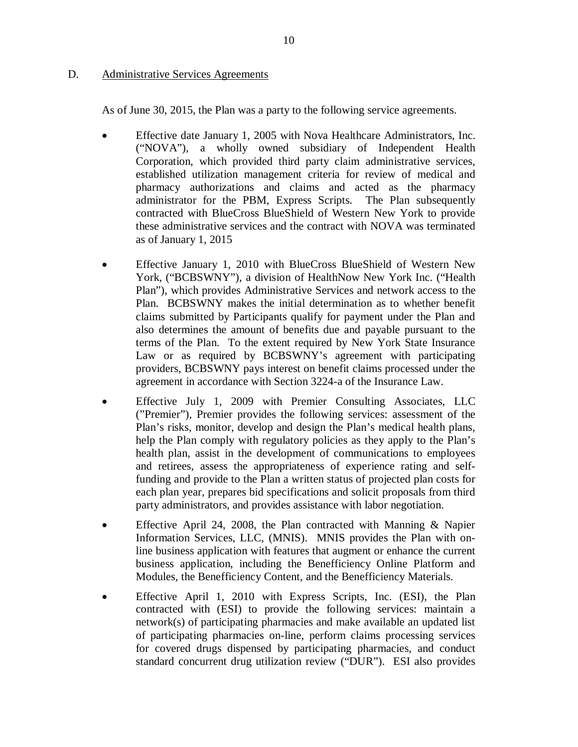### <span id="page-11-0"></span>D. Administrative Services Agreements

As of June 30, 2015, the Plan was a party to the following service agreements.

- Effective date January 1, 2005 with Nova Healthcare Administrators, Inc. ("NOVA"), a wholly owned subsidiary of Independent Health Corporation, which provided third party claim administrative services, established utilization management criteria for review of medical and pharmacy authorizations and claims and acted as the pharmacy administrator for the PBM, Express Scripts. The Plan subsequently contracted with BlueCross BlueShield of Western New York to provide these administrative services and the contract with NOVA was terminated as of January 1, 2015
- Effective January 1, 2010 with BlueCross BlueShield of Western New York, ("BCBSWNY"), a division of HealthNow New York Inc. ("Health Plan"), which provides Administrative Services and network access to the Plan. BCBSWNY makes the initial determination as to whether benefit claims submitted by Participants qualify for payment under the Plan and also determines the amount of benefits due and payable pursuant to the terms of the Plan. To the extent required by New York State Insurance Law or as required by BCBSWNY's agreement with participating providers, BCBSWNY pays interest on benefit claims processed under the agreement in accordance with Section 3224-a of the Insurance Law.
- Effective July 1, 2009 with Premier Consulting Associates, LLC ("Premier"), Premier provides the following services: assessment of the Plan's risks, monitor, develop and design the Plan's medical health plans, help the Plan comply with regulatory policies as they apply to the Plan's health plan, assist in the development of communications to employees and retirees, assess the appropriateness of experience rating and self- funding and provide to the Plan a written status of projected plan costs for each plan year, prepares bid specifications and solicit proposals from third party administrators, and provides assistance with labor negotiation.
- Effective April 24, 2008, the Plan contracted with Manning & Napier Information Services, LLC, (MNIS). MNIS provides the Plan with on- line business application with features that augment or enhance the current business application, including the Benefficiency Online Platform and Modules, the Benefficiency Content, and the Benefficiency Materials.
- Effective April 1, 2010 with Express Scripts, Inc. (ESI), the Plan contracted with (ESI) to provide the following services: maintain a network(s) of participating pharmacies and make available an updated list of participating pharmacies on-line, perform claims processing services standard concurrent drug utilization review ("DUR"). ESI also provides for covered drugs dispensed by participating pharmacies, and conduct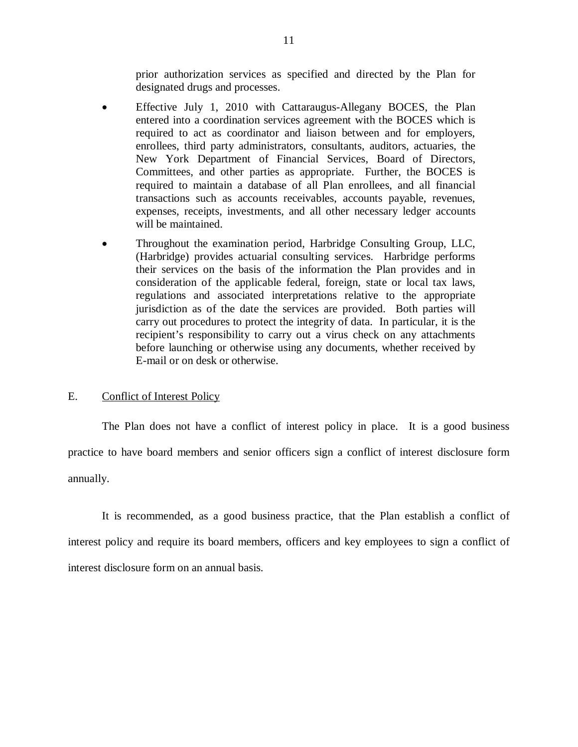prior authorization services as specified and directed by the Plan for designated drugs and processes.

- <span id="page-12-0"></span> Effective July 1, 2010 with Cattaraugus-Allegany BOCES, the Plan entered into a coordination services agreement with the BOCES which is required to act as coordinator and liaison between and for employers, enrollees, third party administrators, consultants, auditors, actuaries, the New York Department of Financial Services, Board of Directors, Committees, and other parties as appropriate. Further, the BOCES is required to maintain a database of all Plan enrollees, and all financial transactions such as accounts receivables, accounts payable, revenues, expenses, receipts, investments, and all other necessary ledger accounts will be maintained.
- Throughout the examination period, Harbridge Consulting Group, LLC, (Harbridge) provides actuarial consulting services. Harbridge performs their services on the basis of the information the Plan provides and in consideration of the applicable federal, foreign, state or local tax laws, regulations and associated interpretations relative to the appropriate jurisdiction as of the date the services are provided. Both parties will carry out procedures to protect the integrity of data. In particular, it is the recipient's responsibility to carry out a virus check on any attachments before launching or otherwise using any documents, whether received by E-mail or on desk or otherwise.

### E. Conflict of Interest Policy

 The Plan does not have a conflict of interest policy in place. It is a good business practice to have board members and senior officers sign a conflict of interest disclosure form annually.

annually.<br>It is recommended, as a good business practice, that the Plan establish a conflict of interest policy and require its board members, officers and key employees to sign a conflict of interest disclosure form on an annual basis.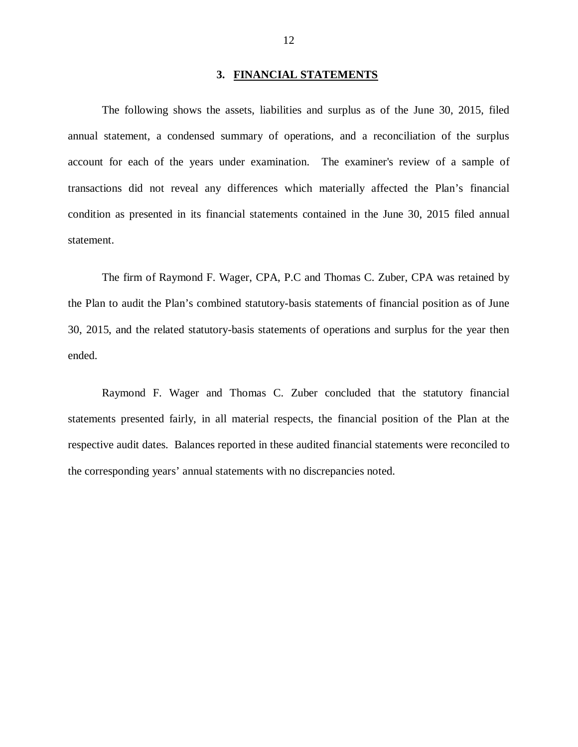#### **3. FINANCIAL STATEMENTS**

<span id="page-13-0"></span> The following shows the assets, liabilities and surplus as of the June 30, 2015, filed annual statement, a condensed summary of operations, and a reconciliation of the surplus account for each of the years under examination. The examiner's review of a sample of transactions did not reveal any differences which materially affected the Plan's financial condition as presented in its financial statements contained in the June 30, 2015 filed annual statement.

 The firm of Raymond F. Wager, CPA, P.C and Thomas C. Zuber, CPA was retained by the Plan to audit the Plan's combined statutory-basis statements of financial position as of June 30, 2015, and the related statutory-basis statements of operations and surplus for the year then ended. ended. Raymond F. Wager and Thomas C. Zuber concluded that the statutory financial

 statements presented fairly, in all material respects, the financial position of the Plan at the respective audit dates. Balances reported in these audited financial statements were reconciled to the corresponding years' annual statements with no discrepancies noted.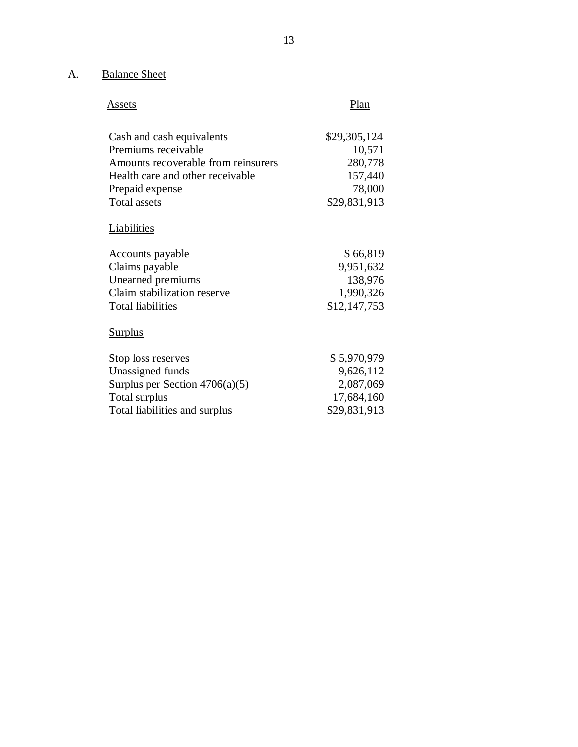### A. Balance Sheet

| Assets | Plan |
|--------|------|
|        |      |

| Cash and cash equivalents           | \$29,305,124        |
|-------------------------------------|---------------------|
| Premiums receivable                 | 10,571              |
| Amounts recoverable from reinsurers | 280,778             |
| Health care and other receivable    | 157,440             |
| Prepaid expense                     | <u>78,000</u>       |
| <b>Total assets</b>                 | <u>\$29,831,913</u> |
| <b>Liabilities</b>                  |                     |
| Accounts payable                    | \$66,819            |
| Claims payable                      | 9,951,632           |
| Unearned premiums                   | 138,976             |
| Claim stabilization reserve         | 1,990,326           |
| <b>Total liabilities</b>            | \$12,147,753        |
| <b>Surplus</b>                      |                     |
| Stop loss reserves                  | \$5,970,979         |
| Unassigned funds                    | 9,626,112           |
| Surplus per Section $4706(a)(5)$    | 2,087,069           |
| Total surplus                       | 17,684,160          |
| Total liabilities and surplus       | <u>\$29,831,913</u> |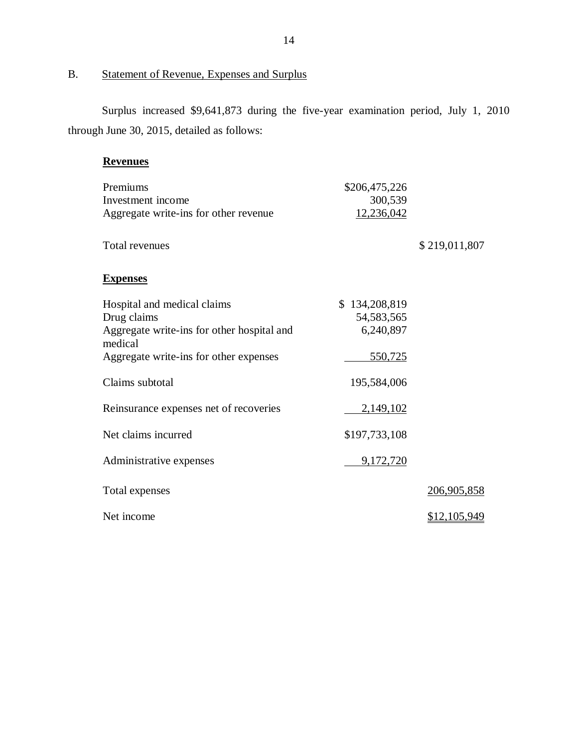### <span id="page-15-0"></span>B. Statement of Revenue, Expenses and Surplus

 Surplus increased \$9,641,873 during the five-year examination period, July 1, 2010 through June 30, 2015, detailed as follows:

### **Revenues**

| Premiums<br>Investment income<br>Aggregate write-ins for other revenue                                                                        | \$206,475,226<br>300,539<br>12,236,042                |                     |
|-----------------------------------------------------------------------------------------------------------------------------------------------|-------------------------------------------------------|---------------------|
| <b>Total revenues</b>                                                                                                                         |                                                       | \$219,011,807       |
| <b>Expenses</b>                                                                                                                               |                                                       |                     |
| Hospital and medical claims<br>Drug claims<br>Aggregate write-ins for other hospital and<br>medical<br>Aggregate write-ins for other expenses | \$134,208,819<br>54, 583, 565<br>6,240,897<br>550,725 |                     |
| Claims subtotal                                                                                                                               | 195,584,006                                           |                     |
| Reinsurance expenses net of recoveries                                                                                                        | 2,149,102                                             |                     |
| Net claims incurred                                                                                                                           | \$197,733,108                                         |                     |
| Administrative expenses                                                                                                                       | 9,172,720                                             |                     |
| Total expenses                                                                                                                                |                                                       | 206,905,858         |
| Net income                                                                                                                                    |                                                       | <u>\$12,105,949</u> |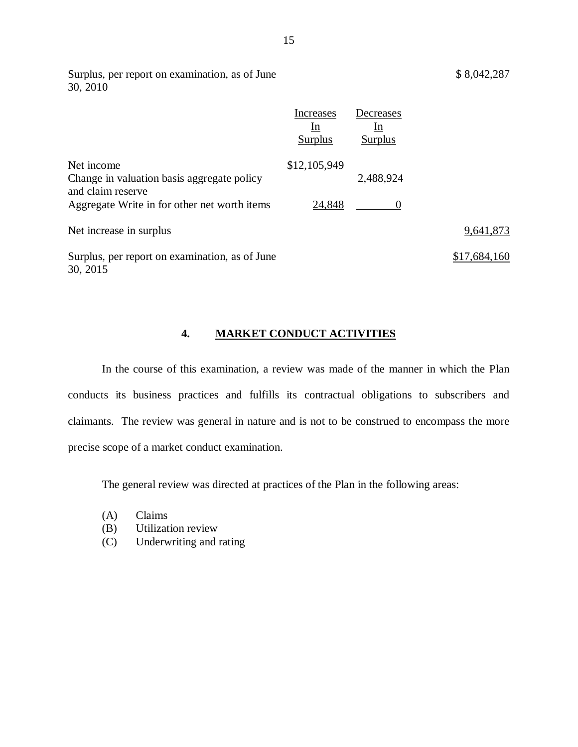<span id="page-16-0"></span>Surplus, per report on examination, as of June \$ 8,042,287 30, 2010

|                                                                               | <b>Increases</b><br><sub>In</sub><br>Surplus | Decreases<br>1n<br><b>Surplus</b> |              |
|-------------------------------------------------------------------------------|----------------------------------------------|-----------------------------------|--------------|
| Net income<br>Change in valuation basis aggregate policy<br>and claim reserve | \$12,105,949                                 | 2,488,924                         |              |
| Aggregate Write in for other net worth items                                  | 24,848                                       |                                   |              |
| Net increase in surplus                                                       |                                              |                                   | 9,641,873    |
| Surplus, per report on examination, as of June<br>30, 2015                    |                                              |                                   | \$17,684,160 |

### **4. MARKET CONDUCT ACTIVITIES**

 In the course of this examination, a review was made of the manner in which the Plan conducts its business practices and fulfills its contractual obligations to subscribers and claimants. The review was general in nature and is not to be construed to encompass the more precise scope of a market conduct examination.

The general review was directed at practices of the Plan in the following areas:

- (A) Claims
- (B) Utilization review
- (C) Underwriting and rating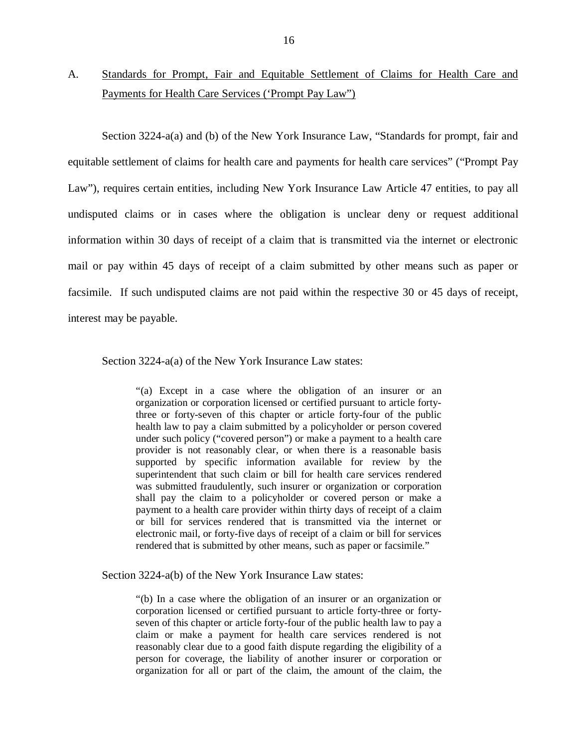### <span id="page-17-0"></span>A. Standards for Prompt, Fair and Equitable Settlement of Claims for Health Care and Payments for Health Care Services ('Prompt Pay Law")

 Section 3224-a(a) and (b) of the New York Insurance Law, "Standards for prompt, fair and equitable settlement of claims for health care and payments for health care services" ("Prompt Pay Law"), requires certain entities, including New York Insurance Law Article 47 entities, to pay all undisputed claims or in cases where the obligation is unclear deny or request additional information within 30 days of receipt of a claim that is transmitted via the internet or electronic mail or pay within 45 days of receipt of a claim submitted by other means such as paper or facsimile. If such undisputed claims are not paid within the respective 30 or 45 days of receipt, interest may be payable.

Section 3224-a(a) of the New York Insurance Law states:

 "(a) Except in a case where the obligation of an insurer or an organization or corporation licensed or certified pursuant to article forty- three or forty-seven of this chapter or article forty-four of the public health law to pay a claim submitted by a policyholder or person covered under such policy ("covered person") or make a payment to a health care provider is not reasonably clear, or when there is a reasonable basis supported by specific information available for review by the superintendent that such claim or bill for health care services rendered was submitted fraudulently, such insurer or organization or corporation shall pay the claim to a policyholder or covered person or make a payment to a health care provider within thirty days of receipt of a claim or bill for services rendered that is transmitted via the internet or electronic mail, or forty-five days of receipt of a claim or bill for services rendered that is submitted by other means, such as paper or facsimile."

Section 3224-a(b) of the New York Insurance Law states:

 "(b) In a case where the obligation of an insurer or an organization or corporation licensed or certified pursuant to article forty-three or forty- seven of this chapter or article forty-four of the public health law to pay a claim or make a payment for health care services rendered is not reasonably clear due to a good faith dispute regarding the eligibility of a person for coverage, the liability of another insurer or corporation or organization for all or part of the claim, the amount of the claim, the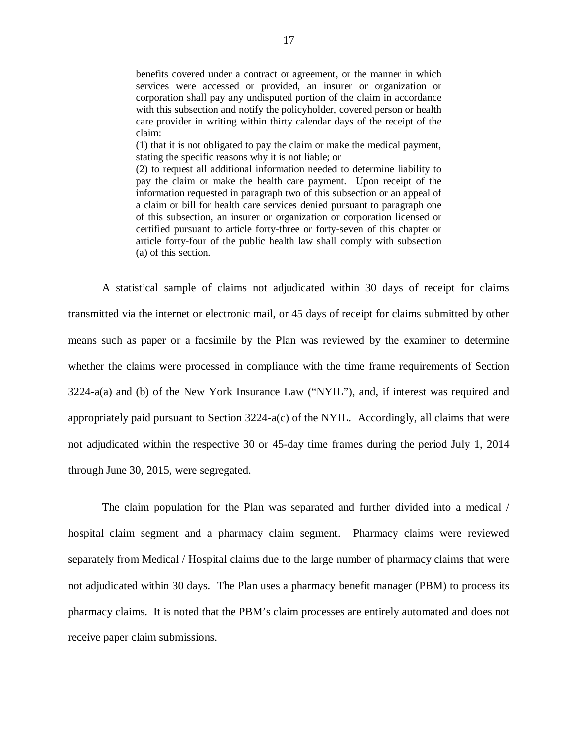benefits covered under a contract or agreement, or the manner in which services were accessed or provided, an insurer or organization or corporation shall pay any undisputed portion of the claim in accordance with this subsection and notify the policyholder, covered person or health care provider in writing within thirty calendar days of the receipt of the claim:

 (1) that it is not obligated to pay the claim or make the medical payment, stating the specific reasons why it is not liable; or

 (2) to request all additional information needed to determine liability to pay the claim or make the health care payment. Upon receipt of the information requested in paragraph two of this subsection or an appeal of a claim or bill for health care services denied pursuant to paragraph one of this subsection, an insurer or organization or corporation licensed or certified pursuant to article forty-three or forty-seven of this chapter or article forty-four of the public health law shall comply with subsection (a) of this section.

 A statistical sample of claims not adjudicated within 30 days of receipt for claims transmitted via the internet or electronic mail, or 45 days of receipt for claims submitted by other means such as paper or a facsimile by the Plan was reviewed by the examiner to determine whether the claims were processed in compliance with the time frame requirements of Section 3224-a(a) and (b) of the New York Insurance Law ("NYIL"), and, if interest was required and appropriately paid pursuant to Section 3224-a(c) of the NYIL. Accordingly, all claims that were not adjudicated within the respective 30 or 45-day time frames during the period July 1, 2014 through June 30, 2015, were segregated.

 The claim population for the Plan was separated and further divided into a medical / hospital claim segment and a pharmacy claim segment. Pharmacy claims were reviewed separately from Medical / Hospital claims due to the large number of pharmacy claims that were not adjudicated within 30 days. The Plan uses a pharmacy benefit manager (PBM) to process its pharmacy claims. It is noted that the PBM's claim processes are entirely automated and does not receive paper claim submissions.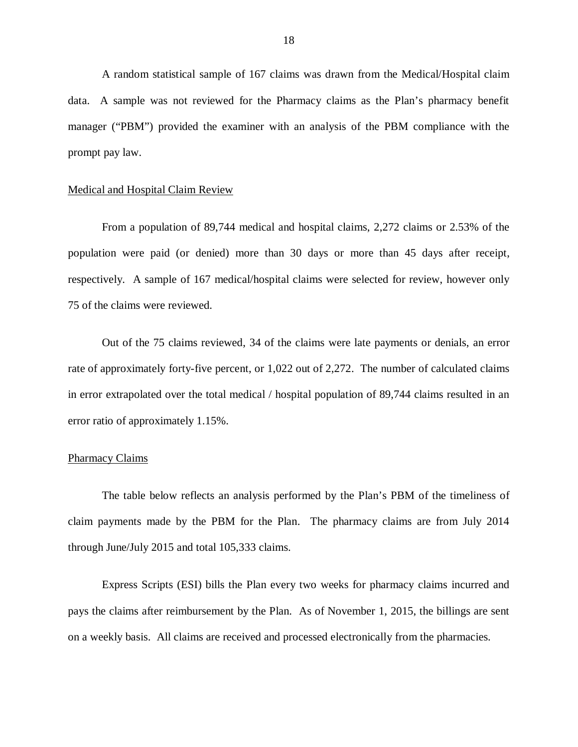A random statistical sample of 167 claims was drawn from the Medical/Hospital claim data. A sample was not reviewed for the Pharmacy claims as the Plan's pharmacy benefit manager ("PBM") provided the examiner with an analysis of the PBM compliance with the prompt pay law.

### Medical and Hospital Claim Review

 population were paid (or denied) more than 30 days or more than 45 days after receipt, respectively. A sample of 167 medical/hospital claims were selected for review, however only 75 of the claims were reviewed. From a population of 89,744 medical and hospital claims, 2,272 claims or 2.53% of the

 rate of approximately forty-five percent, or 1,022 out of 2,272. The number of calculated claims in error extrapolated over the total medical / hospital population of 89,744 claims resulted in an error ratio of approximately 1.15%. Out of the 75 claims reviewed, 34 of the claims were late payments or denials, an error

### Pharmacy Claims

 claim payments made by the PBM for the Plan. The pharmacy claims are from July 2014 through June/July 2015 and total 105,333 claims. The table below reflects an analysis performed by the Plan's PBM of the timeliness of

 Express Scripts (ESI) bills the Plan every two weeks for pharmacy claims incurred and pays the claims after reimbursement by the Plan. As of November 1, 2015, the billings are sent on a weekly basis. All claims are received and processed electronically from the pharmacies.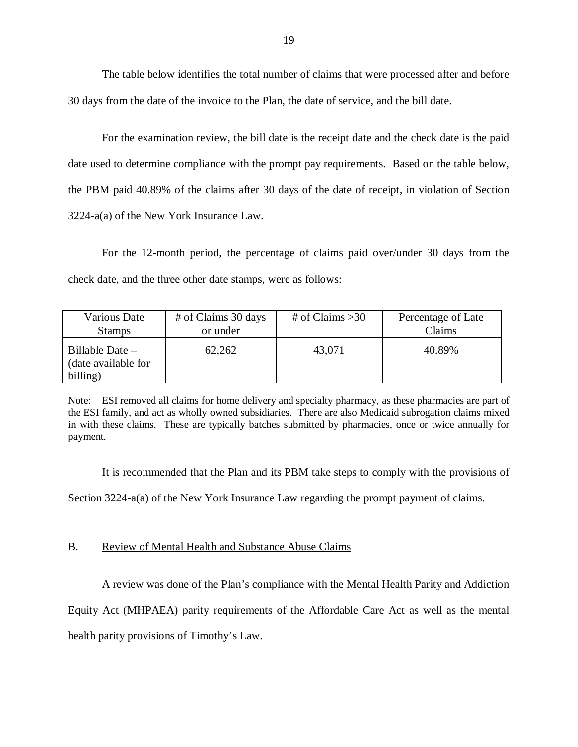The table below identifies the total number of claims that were processed after and before 30 days from the date of the invoice to the Plan, the date of service, and the bill date.

 For the examination review, the bill date is the receipt date and the check date is the paid date used to determine compliance with the prompt pay requirements. Based on the table below, the PBM paid 40.89% of the claims after 30 days of the date of receipt, in violation of Section 3224-a(a) of the New York Insurance Law.

 For the 12-month period, the percentage of claims paid over/under 30 days from the check date, and the three other date stamps, were as follows:

| Various Date                                         | # of Claims 30 days | # of Claims $>30$ | Percentage of Late |
|------------------------------------------------------|---------------------|-------------------|--------------------|
| <b>Stamps</b>                                        | or under            |                   | Claims             |
| Billable Date $-$<br>(date available for<br>billing) | 62,262              | 43,071            | 40.89%             |

 Note: ESI removed all claims for home delivery and specialty pharmacy, as these pharmacies are part of the ESI family, and act as wholly owned subsidiaries. There are also Medicaid subrogation claims mixed in with these claims. These are typically batches submitted by pharmacies, once or twice annually for payment.

It is recommended that the Plan and its PBM take steps to comply with the provisions of

Section 3224-a(a) of the New York Insurance Law regarding the prompt payment of claims.

### B. Review of Mental Health and Substance Abuse Claims

A review was done of the Plan's compliance with the Mental Health Parity and Addiction

Equity Act (MHPAEA) parity requirements of the Affordable Care Act as well as the mental

health parity provisions of Timothy's Law.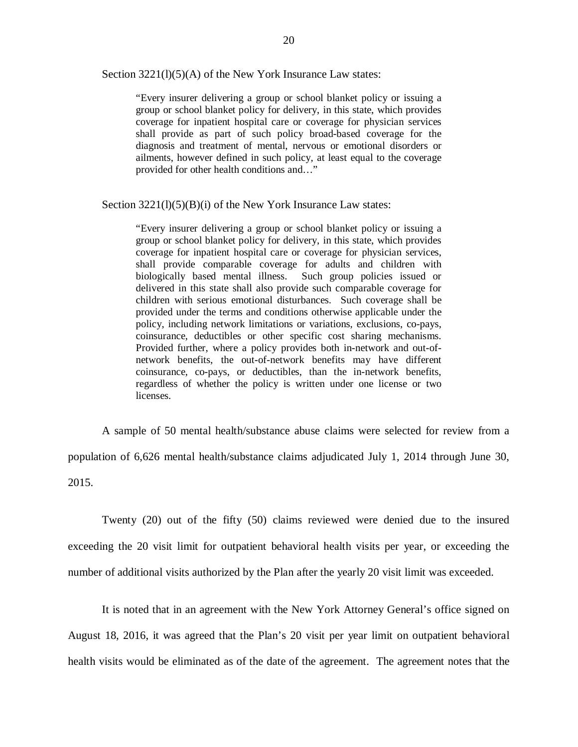Section 3221(l)(5)(A) of the New York Insurance Law states:

 "Every insurer delivering a group or school blanket policy or issuing a group or school blanket policy for delivery, in this state, which provides coverage for inpatient hospital care or coverage for physician services shall provide as part of such policy broad-based coverage for the diagnosis and treatment of mental, nervous or emotional disorders or ailments, however defined in such policy, at least equal to the coverage provided for other health conditions and…"

Section 3221(l)(5)(B)(i) of the New York Insurance Law states:

 "Every insurer delivering a group or school blanket policy or issuing a group or school blanket policy for delivery, in this state, which provides coverage for inpatient hospital care or coverage for physician services, shall provide comparable coverage for adults and children with biologically based mental illness. Such group policies issued or delivered in this state shall also provide such comparable coverage for children with serious emotional disturbances. Such coverage shall be provided under the terms and conditions otherwise applicable under the policy, including network limitations or variations, exclusions, co-pays, coinsurance, deductibles or other specific cost sharing mechanisms. Provided further, where a policy provides both in-network and out-of- network benefits, the out-of-network benefits may have different coinsurance, co-pays, or deductibles, than the in-network benefits, regardless of whether the policy is written under one license or two licenses.

 A sample of 50 mental health/substance abuse claims were selected for review from a population of 6,626 mental health/substance claims adjudicated July 1, 2014 through June 30, 2015.

 Twenty (20) out of the fifty (50) claims reviewed were denied due to the insured exceeding the 20 visit limit for outpatient behavioral health visits per year, or exceeding the number of additional visits authorized by the Plan after the yearly 20 visit limit was exceeded.

 It is noted that in an agreement with the New York Attorney General's office signed on August 18, 2016, it was agreed that the Plan's 20 visit per year limit on outpatient behavioral health visits would be eliminated as of the date of the agreement. The agreement notes that the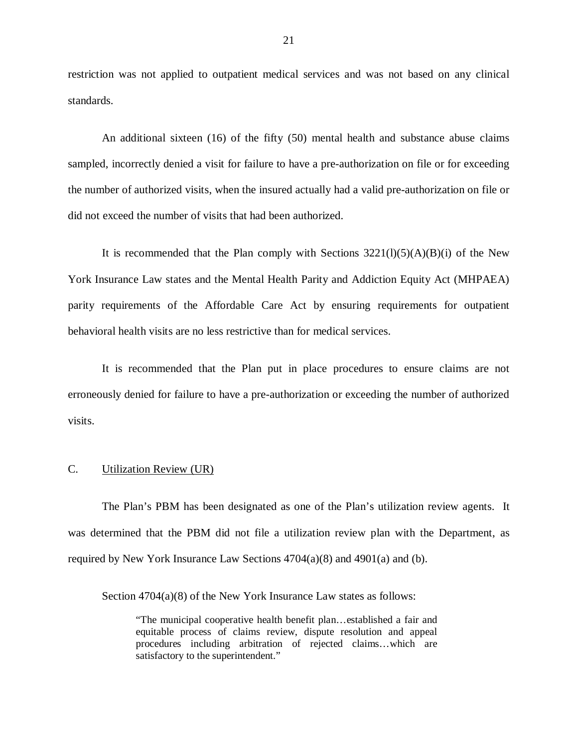<span id="page-22-0"></span> restriction was not applied to outpatient medical services and was not based on any clinical standards.

 An additional sixteen (16) of the fifty (50) mental health and substance abuse claims sampled, incorrectly denied a visit for failure to have a pre-authorization on file or for exceeding the number of authorized visits, when the insured actually had a valid pre-authorization on file or did not exceed the number of visits that had been authorized.

It is recommended that the Plan comply with Sections  $3221(1)(5)(A)(B)(i)$  of the New York Insurance Law states and the Mental Health Parity and Addiction Equity Act (MHPAEA) parity requirements of the Affordable Care Act by ensuring requirements for outpatient behavioral health visits are no less restrictive than for medical services.

 It is recommended that the Plan put in place procedures to ensure claims are not erroneously denied for failure to have a pre-authorization or exceeding the number of authorized visits.

### C. Utilization Review (UR)

 The Plan's PBM has been designated as one of the Plan's utilization review agents. It was determined that the PBM did not file a utilization review plan with the Department, as required by New York Insurance Law Sections 4704(a)(8) and 4901(a) and (b).

Section 4704(a)(8) of the New York Insurance Law states as follows:

 "The municipal cooperative health benefit plan…established a fair and equitable process of claims review, dispute resolution and appeal procedures including arbitration of rejected claims…which are satisfactory to the superintendent."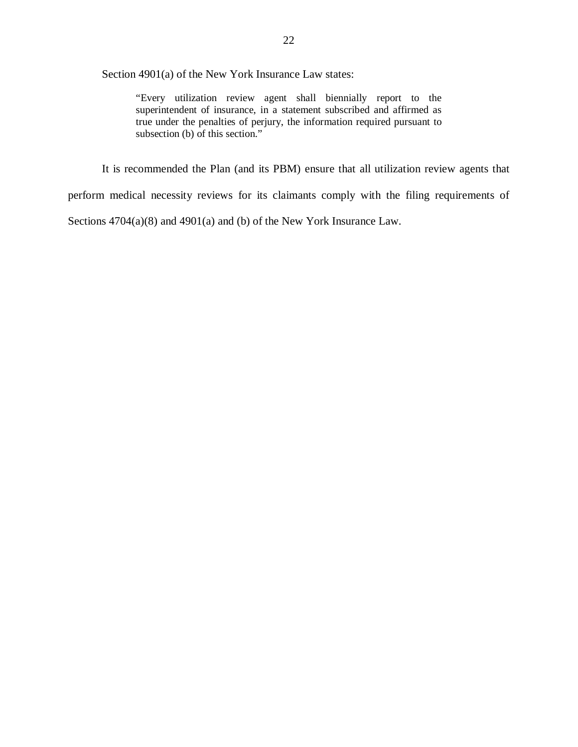Section 4901(a) of the New York Insurance Law states:

 "Every utilization review agent shall biennially report to the superintendent of insurance, in a statement subscribed and affirmed as true under the penalties of perjury, the information required pursuant to subsection (b) of this section."

 perform medical necessity reviews for its claimants comply with the filing requirements of Sections 4704(a)(8) and 4901(a) and (b) of the New York Insurance Law. It is recommended the Plan (and its PBM) ensure that all utilization review agents that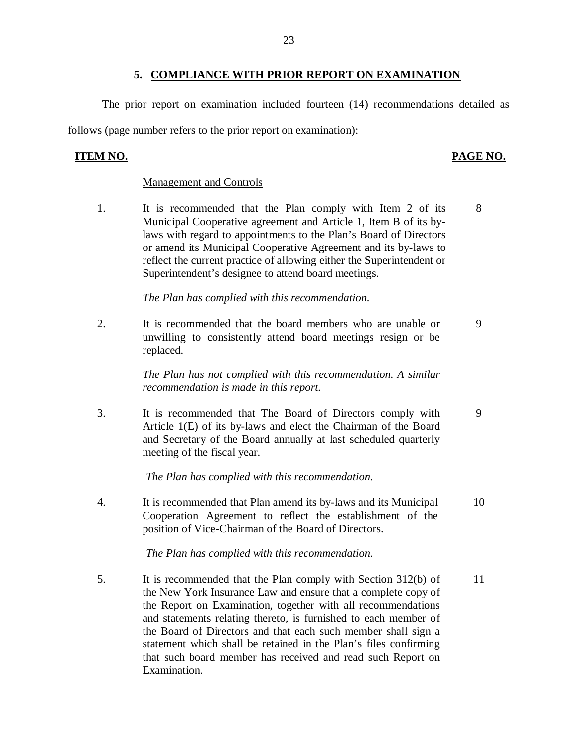<span id="page-24-0"></span> follows (page number refers to the prior report on examination): The prior report on examination included fourteen (14) recommendations detailed as

### **ITEM NO.**

### **PAGE NO.**

8

9

### Management and Controls

 $1.$  Municipal Cooperative agreement and Article 1, Item B of its by- laws with regard to appointments to the Plan's Board of Directors or amend its Municipal Cooperative Agreement and its by-laws to reflect the current practice of allowing either the Superintendent or Superintendent's designee to attend board meetings. It is recommended that the Plan comply with Item 2 of its

 *The Plan has complied with this recommendation.* 

 $\overline{2}$ . unwilling to consistently attend board meetings resign or be It is recommended that the board members who are unable or replaced. 9

> *The Plan has not complied with this recommendation. A similar recommendation is made in this report.*

 $\mathcal{R}$  Article 1(E) of its by-laws and elect the Chairman of the Board and Secretary of the Board annually at last scheduled quarterly meeting of the fiscal year. It is recommended that The Board of Directors comply with

 *The Plan has complied with this recommendation.* 

 $\overline{4}$ . Cooperation Agreement to reflect the establishment of the position of Vice-Chairman of the Board of Directors. It is recommended that Plan amend its by-laws and its Municipal 10

 *The Plan has complied with this recommendation.* 

5. the New York Insurance Law and ensure that a complete copy of the Report on Examination, together with all recommendations and statements relating thereto, is furnished to each member of the Board of Directors and that each such member shall sign a statement which shall be retained in the Plan's files confirming that such board member has received and read such Report on It is recommended that the Plan comply with Section 312(b) of Examination. 11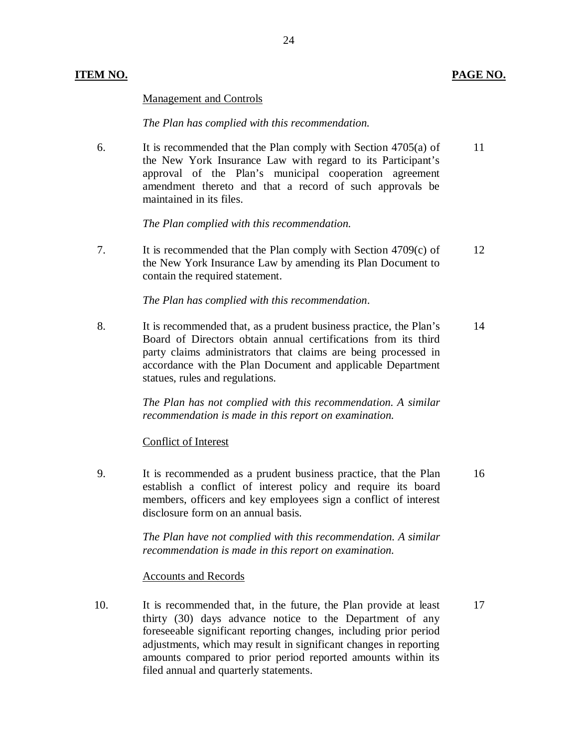### Management and Controls

### *The Plan has complied with this recommendation.*

 $6<sup>1</sup>$  the New York Insurance Law with regard to its Participant's approval of the Plan's municipal cooperation agreement amendment thereto and that a record of such approvals be maintained in its files. It is recommended that the Plan comply with Section  $4705(a)$  of 11

*The Plan complied with this recommendation.* 

 $\overline{7}$  the New York Insurance Law by amending its Plan Document to contain the required statement. It is recommended that the Plan comply with Section  $4709(c)$  of 12

 *The Plan has complied with this recommendation*.

8. Board of Directors obtain annual certifications from its third party claims administrators that claims are being processed in accordance with the Plan Document and applicable Department statues, rules and regulations. It is recommended that, as a prudent business practice, the Plan's 14

> *The Plan has not complied with this recommendation. A similar recommendation is made in this report on examination.*

### Conflict of Interest

 $9<sub>1</sub>$  establish a conflict of interest policy and require its board members, officers and key employees sign a conflict of interest disclosure form on an annual basis. It is recommended as a prudent business practice, that the Plan 16

> *The Plan have not complied with this recommendation. A similar recommendation is made in this report on examination.*

### Accounts and Records

 $10<sub>l</sub>$  thirty (30) days advance notice to the Department of any foreseeable significant reporting changes, including prior period adjustments, which may result in significant changes in reporting amounts compared to prior period reported amounts within its It is recommended that, in the future, the Plan provide at least 17 filed annual and quarterly statements.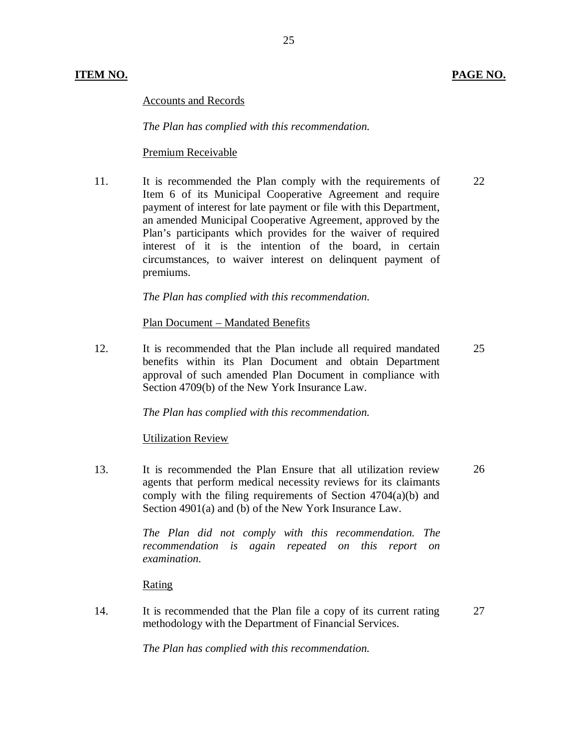Accounts and Records

 *The Plan has complied with this recommendation.* 

### Premium Receivable

11. Item 6 of its Municipal Cooperative Agreement and require payment of interest for late payment or file with this Department, an amended Municipal Cooperative Agreement, approved by the Plan's participants which provides for the waiver of required interest of it is the intention of the board, in certain circumstances, to waiver interest on delinquent payment of 11. It is recommended the Plan comply with the requirements of<br>
11. It is recommended the Plan conperative Agreement and require<br>
12. payment of interest for late payment or file with this Department,<br>
21. an amended Munic premiums. 22

 *The Plan has complied with this recommendation.* 

Plan Document – Mandated Benefits

12. benefits within its Plan Document and obtain Department approval of such amended Plan Document in compliance with Section 4709(b) of the New York Insurance Law. It is recommended that the Plan include all required mandated 25

 *The Plan has complied with this recommendation.* 

### Utilization Review

13. agents that perform medical necessity reviews for its claimants comply with the filing requirements of Section 4704(a)(b) and Section 4901(a) and (b) of the New York Insurance Law. 13. It is recommended the Plan Ensure that all utilization review<br>agents that perform medical necessity reviews for its claimants<br>comply with the filing requirements of Section 4704(a)(b) and<br>Section 4901(a) and (b) of th 26

 *The Plan did not comply with this recommendation. The recommendation is again repeated on this report on examination.* 

Rating

 $14.$  methodology with the Department of Financial Services. It is recommended that the Plan file a copy of its current rating 27

 *The Plan has complied with this recommendation.*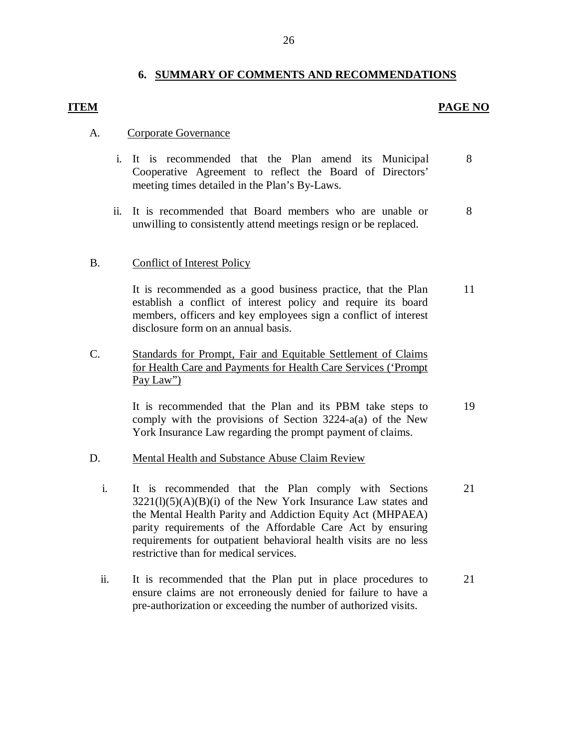### **6. SUMMARY OF COMMENTS AND RECOMMENDATIONS**

### **PAGE NO**

### A. Corporate Governance

- i. It is recommended that the Plan amend its Municipal Cooperative Agreement to reflect the Board of Directors' meeting times detailed in the Plan's By-Laws. 8
- ii. It is recommended that Board members who are unable or unwilling to consistently attend meetings resign or be replaced. 8

### B. Conflict of Interest Policy

It is recommended as a good business practice, that the Plan 11 establish a conflict of interest policy and require its board members, officers and key employees sign a conflict of interest disclosure form on an annual basis.

C. Standards for Prompt, Fair and Equitable Settlement of Claims for Health Care and Payments for Health Care Services ('Prompt Pay Law")

> comply with the provisions of Section 3224-a(a) of the New York Insurance Law regarding the prompt payment of claims. It is recommended that the Plan and its PBM take steps to 19

- D. Mental Health and Substance Abuse Claim Review
	- $3221(l)(5)(A)(B)(i)$  of the New York Insurance Law states and the Mental Health Parity and Addiction Equity Act (MHPAEA) parity requirements of the Affordable Care Act by ensuring requirements for outpatient behavioral health visits are no less restrictive than for medical services. i. It is recommended that the Plan comply with Sections 21
	- ensure claims are not erroneously denied for failure to have a pre-authorization or exceeding the number of authorized visits. ii. It is recommended that the Plan put in place procedures to 21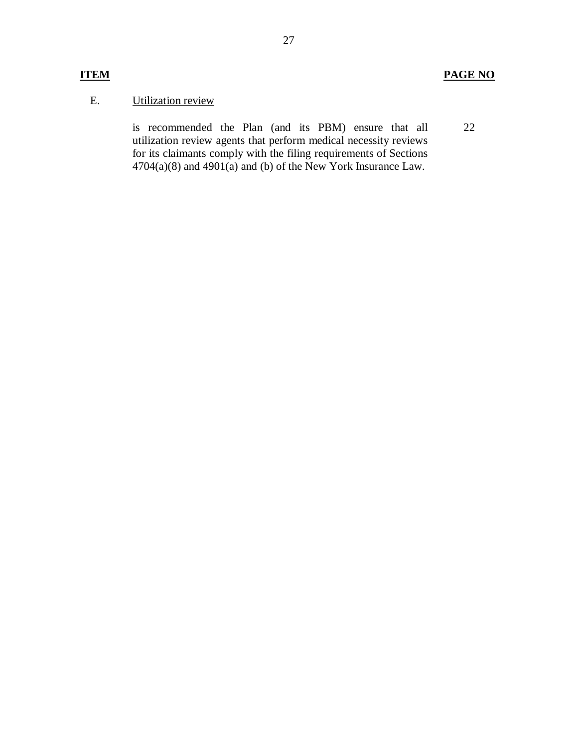### E. Utilization review

 is recommended the Plan (and its PBM) ensure that all utilization review agents that perform medical necessity reviews for its claimants comply with the filing requirements of Sections  $4704(a)(8)$  and  $4901(a)$  and (b) of the New York Insurance Law. 22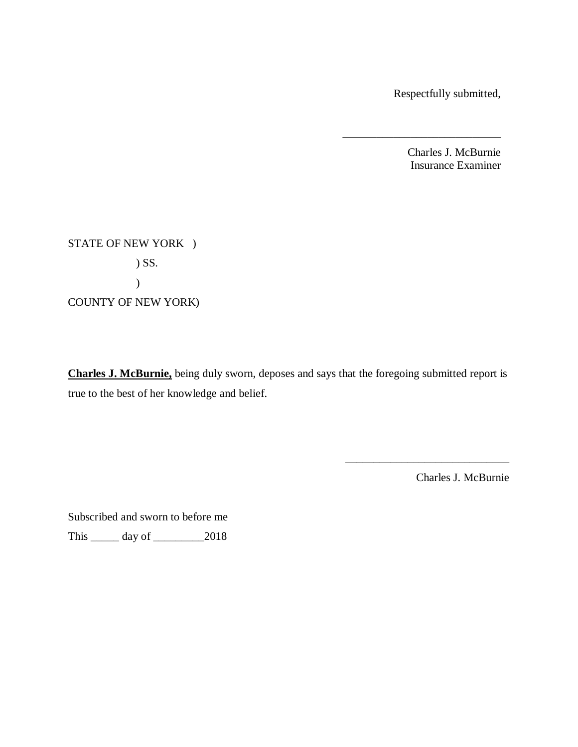Respectfully submitted,

\_\_\_\_\_\_\_\_\_\_\_\_\_\_\_\_\_\_\_\_\_\_\_\_\_\_\_\_

Charles J. McBurnie Insurance Examiner

 STATE OF NEW YORK ) COUNTY OF NEW YORK) ) SS. )

Charles J. McBurnie, being duly sworn, deposes and says that the foregoing submitted report is true to the best of her knowledge and belief.

Charles J. McBurnie

\_\_\_\_\_\_\_\_\_\_\_\_\_\_\_\_\_\_\_\_\_\_\_\_\_\_\_\_\_

Subscribed and sworn to before me

This \_\_\_\_\_ day of \_\_\_\_\_\_\_\_\_2018